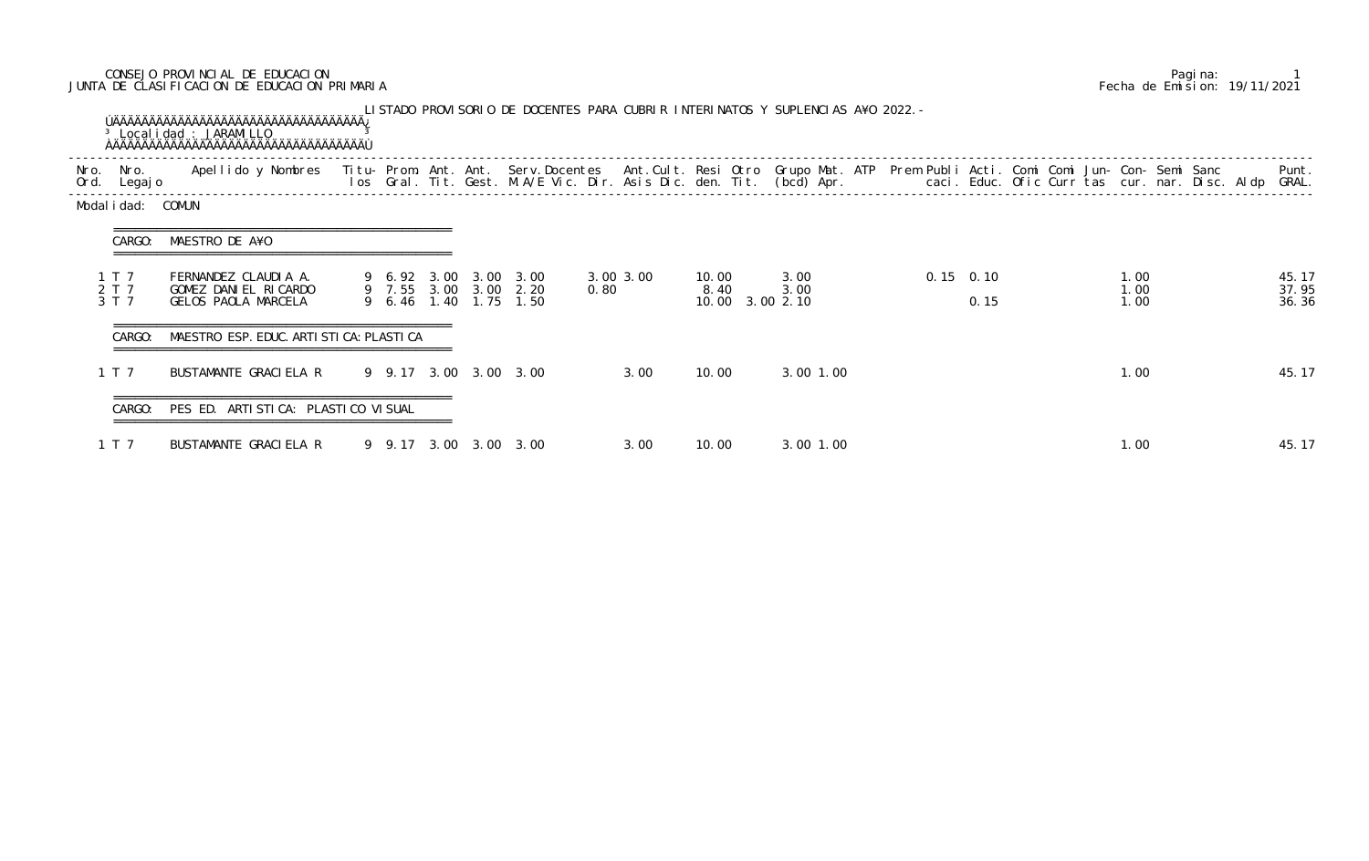## CONSEJO PROVINCIAL DE EDUCACION Pagina: 1 JUNTA DE CLASIFICACION DE EDUCACION PRIMARIA Fecha de Emision: 19/11/2021

| Nro. | Nro.<br>Ord. Legajo     | Apellido y Nombres - Titu- Prom. Ant. Ant. Serv.Docentes - Ant.Cult. Resi Otro Grupo Mat. ATP Prem Publi Acti. Comi Comi Jun- Con- Semi Sanc - - - Punt.<br>Ios Gral. Tit. Gest. M.A/E Vic. Dir. Asis Dic. den. Tit. (bcd) Apr. - |  |  |                                                                         |      |           |                                  |              |  |                     |                      | Punt.                   |
|------|-------------------------|-----------------------------------------------------------------------------------------------------------------------------------------------------------------------------------------------------------------------------------|--|--|-------------------------------------------------------------------------|------|-----------|----------------------------------|--------------|--|---------------------|----------------------|-------------------------|
|      | Modal i dad: COMUN      |                                                                                                                                                                                                                                   |  |  |                                                                         |      |           |                                  |              |  |                     |                      |                         |
|      | CARGO:                  | MAESTRO DE A¥O<br>===============================                                                                                                                                                                                 |  |  |                                                                         |      |           |                                  |              |  |                     |                      |                         |
|      | 1 T 7<br>2 T 7<br>3 T 7 | FERNANDEZ CLAUDIA A.<br>GOMEZ DANIEL RICARDO<br>GELOS PAOLA MARCELA                                                                                                                                                               |  |  | 9 6.92 3.00 3.00 3.00<br>9 7.55 3.00 3.00 2.20<br>9 6.46 1.40 1.75 1.50 | 0.80 | 3.00 3.00 | 10.00<br>8.40<br>10.00 3.00 2.10 | 3.00<br>3.00 |  | $0.15$ 0.10<br>0.15 | 1.00<br>1.00<br>1.00 | 45.17<br>37.95<br>36.36 |
|      | CARGO:                  | MAESTRO ESP. EDUC. ARTI STI CA: PLASTI CA                                                                                                                                                                                         |  |  |                                                                         |      |           |                                  |              |  |                     |                      |                         |
|      | 1 T 7                   | BUSTAMANTE GRACIELA R                                                                                                                                                                                                             |  |  | 9 9.17 3.00 3.00 3.00                                                   |      | 3.00      | 10.00                            | 3.00 1.00    |  |                     | 1.00                 | 45.17                   |
|      | CARGO:                  | PES ED. ARTI STI CA: PLASTI CO VI SUAL                                                                                                                                                                                            |  |  |                                                                         |      |           |                                  |              |  |                     |                      |                         |
|      | 1 T 7                   | BUSTAMANTE GRACIELA R                                                                                                                                                                                                             |  |  | 9 9.17 3.00 3.00 3.00                                                   |      | 3.00      | 10.00                            | 3.00 1.00    |  |                     | 1.00                 | 45.17                   |